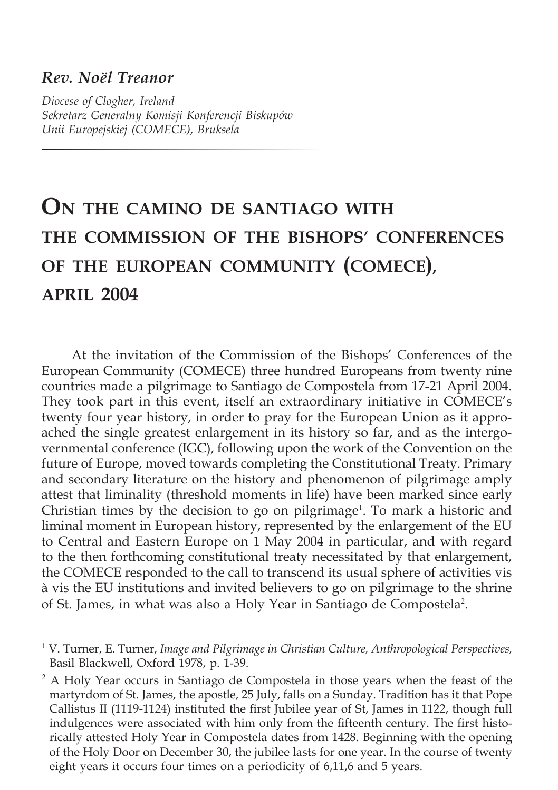#### *Rev. Noël Treanor*

*Diocese of Clogher, Ireland Sekretarz Generalny Komisji Konferencji Biskupów Unii Europejskiej (COMECE), Bruksela*

# **On the camino de santiago with the commission of the bishops' conferences of the european community (comece), april 2004**

At the invitation of the Commission of the Bishops' Conferences of the European Community (COMECE) three hundred Europeans from twenty nine countries made a pilgrimage to Santiago de Compostela from 17-21 April 2004. They took part in this event, itself an extraordinary initiative in COMECE's twenty four year history, in order to pray for the European Union as it approached the single greatest enlargement in its history so far, and as the intergovernmental conference (IGC), following upon the work of the Convention on the future of Europe, moved towards completing the Constitutional Treaty. Primary and secondary literature on the history and phenomenon of pilgrimage amply attest that liminality (threshold moments in life) have been marked since early Christian times by the decision to go on pilgrimage<sup>1</sup>. To mark a historic and liminal moment in European history, represented by the enlargement of the EU to Central and Eastern Europe on 1 May 2004 in particular, and with regard to the then forthcoming constitutional treaty necessitated by that enlargement, the COMECE responded to the call to transcend its usual sphere of activities vis à vis the EU institutions and invited believers to go on pilgrimage to the shrine of St. James, in what was also a Holy Year in Santiago de Compostela<sup>2</sup>.

<sup>1</sup> V. Turner, E. Turner, *Image and Pilgrimage in Christian Culture, Anthropological Perspectives,* Basil Blackwell, Oxford 1978, p. 1-39.

<sup>&</sup>lt;sup>2</sup> A Holy Year occurs in Santiago de Compostela in those years when the feast of the martyrdom of St. James, the apostle, 25 July, falls on a Sunday. Tradition has it that Pope Callistus II (1119-1124) instituted the first Jubilee year of St, James in 1122, though full indulgences were associated with him only from the fifteenth century. The first historically attested Holy Year in Compostela dates from 1428. Beginning with the opening of the Holy Door on December 30, the jubilee lasts for one year. In the course of twenty eight years it occurs four times on a periodicity of 6,11,6 and 5 years.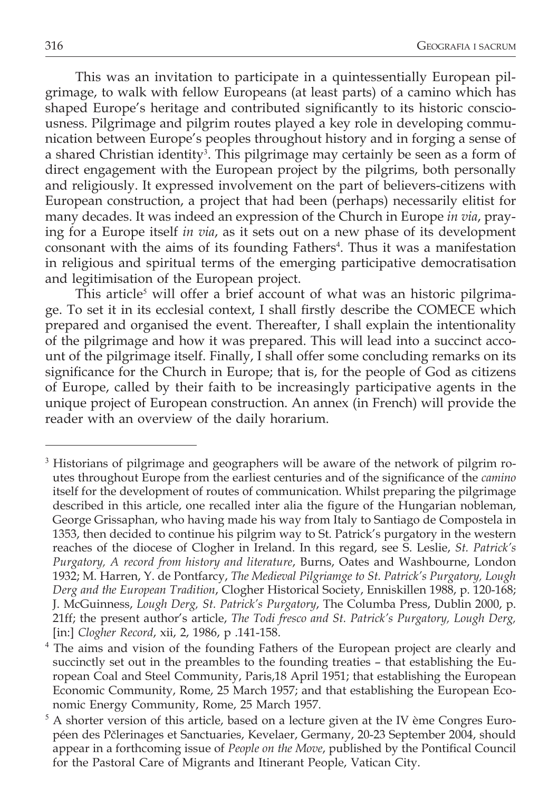This was an invitation to participate in a quintessentially European pilgrimage, to walk with fellow Europeans (at least parts) of a camino which has shaped Europe's heritage and contributed significantly to its historic consciousness. Pilgrimage and pilgrim routes played a key role in developing communication between Europe's peoples throughout history and in forging a sense of a shared Christian identity<sup>3</sup>. This pilgrimage may certainly be seen as a form of direct engagement with the European project by the pilgrims, both personally and religiously. It expressed involvement on the part of believers-citizens with European construction, a project that had been (perhaps) necessarily elitist for many decades. It was indeed an expression of the Church in Europe *in via*, praying for a Europe itself *in via*, as it sets out on a new phase of its development consonant with the aims of its founding Fathers<sup>4</sup>. Thus it was a manifestation in religious and spiritual terms of the emerging participative democratisation and legitimisation of the European project.

This article $^5$  will offer a brief account of what was an historic pilgrimage. To set it in its ecclesial context, I shall firstly describe the COMECE which prepared and organised the event. Thereafter, I shall explain the intentionality of the pilgrimage and how it was prepared. This will lead into a succinct account of the pilgrimage itself. Finally, I shall offer some concluding remarks on its significance for the Church in Europe; that is, for the people of God as citizens of Europe, called by their faith to be increasingly participative agents in the unique project of European construction. An annex (in French) will provide the reader with an overview of the daily horarium.

<sup>3</sup> Historians of pilgrimage and geographers will be aware of the network of pilgrim routes throughout Europe from the earliest centuries and of the significance of the *camino* itself for the development of routes of communication. Whilst preparing the pilgrimage described in this article, one recalled inter alia the figure of the Hungarian nobleman, George Grissaphan, who having made his way from Italy to Santiago de Compostela in 1353, then decided to continue his pilgrim way to St. Patrick's purgatory in the western reaches of the diocese of Clogher in Ireland. In this regard, see S. Leslie, *St. Patrick's Purgatory, A record from history and literature*, Burns, Oates and Washbourne, London 1932; M. Harren, Y. de Pontfarcy, *The Medieval Pilgriamge to St. Patrick's Purgatory, Lough Derg and the European Tradition*, Clogher Historical Society, Enniskillen 1988, p. 120-168; J. McGuinness, *Lough Derg, St. Patrick's Purgatory*, The Columba Press, Dublin 2000, p. 21ff; the present author's article, *The Todi fresco and St. Patrick's Purgatory, Lough Derg,* [in:] *Clogher Record*, xii, 2, 1986, p .141-158.

<sup>4</sup> The aims and vision of the founding Fathers of the European project are clearly and succinctly set out in the preambles to the founding treaties – that establishing the European Coal and Steel Community, Paris,18 April 1951; that establishing the European Economic Community, Rome, 25 March 1957; and that establishing the European Economic Energy Community, Rome, 25 March 1957.

 $<sup>5</sup>$  A shorter version of this article, based on a lecture given at the IV ème Congres Euro-</sup> péen des Pčlerinages et Sanctuaries, Kevelaer, Germany, 20-23 September 2004, should appear in a forthcoming issue of *People on the Move*, published by the Pontifical Council for the Pastoral Care of Migrants and Itinerant People, Vatican City.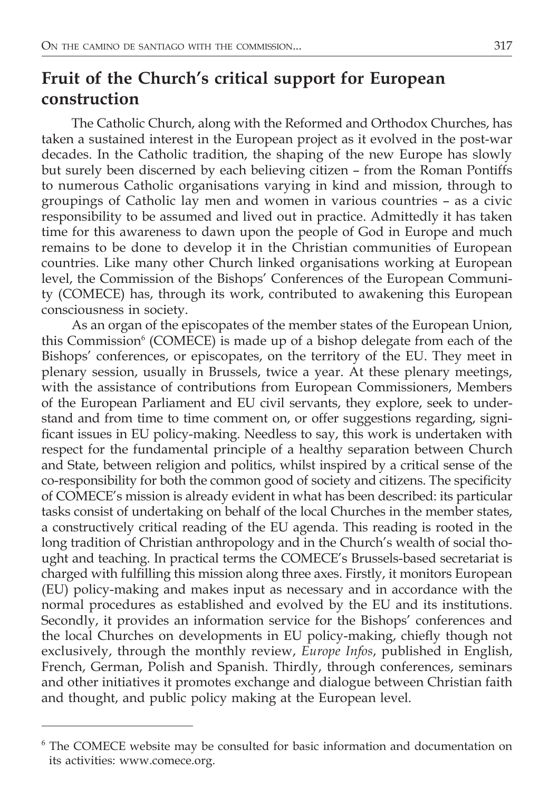# **Fruit of the Church's critical support for European construction**

The Catholic Church, along with the Reformed and Orthodox Churches, has taken a sustained interest in the European project as it evolved in the post-war decades. In the Catholic tradition, the shaping of the new Europe has slowly but surely been discerned by each believing citizen – from the Roman Pontiffs to numerous Catholic organisations varying in kind and mission, through to groupings of Catholic lay men and women in various countries – as a civic responsibility to be assumed and lived out in practice. Admittedly it has taken time for this awareness to dawn upon the people of God in Europe and much remains to be done to develop it in the Christian communities of European countries. Like many other Church linked organisations working at European level, the Commission of the Bishops' Conferences of the European Community (COMECE) has, through its work, contributed to awakening this European consciousness in society.

As an organ of the episcopates of the member states of the European Union, this Commission<sup>6</sup> (COMECE) is made up of a bishop delegate from each of the Bishops' conferences, or episcopates, on the territory of the EU. They meet in plenary session, usually in Brussels, twice a year. At these plenary meetings, with the assistance of contributions from European Commissioners, Members of the European Parliament and EU civil servants, they explore, seek to understand and from time to time comment on, or offer suggestions regarding, significant issues in EU policy-making. Needless to say, this work is undertaken with respect for the fundamental principle of a healthy separation between Church and State, between religion and politics, whilst inspired by a critical sense of the co-responsibility for both the common good of society and citizens. The specificity of COMECE's mission is already evident in what has been described: its particular tasks consist of undertaking on behalf of the local Churches in the member states, a constructively critical reading of the EU agenda. This reading is rooted in the long tradition of Christian anthropology and in the Church's wealth of social thought and teaching. In practical terms the COMECE's Brussels-based secretariat is charged with fulfilling this mission along three axes. Firstly, it monitors European (EU) policy-making and makes input as necessary and in accordance with the normal procedures as established and evolved by the EU and its institutions. Secondly, it provides an information service for the Bishops' conferences and the local Churches on developments in EU policy-making, chiefly though not exclusively, through the monthly review, *Europe Infos*, published in English, French, German, Polish and Spanish. Thirdly, through conferences, seminars and other initiatives it promotes exchange and dialogue between Christian faith and thought, and public policy making at the European level.

<sup>6</sup> The COMECE website may be consulted for basic information and documentation on its activities: www.comece.org.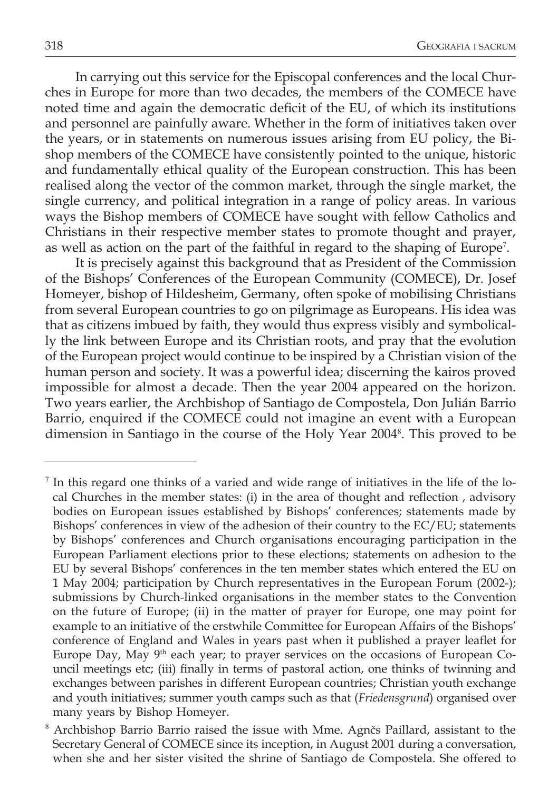In carrying out this service for the Episcopal conferences and the local Churches in Europe for more than two decades, the members of the COMECE have noted time and again the democratic deficit of the EU, of which its institutions and personnel are painfully aware. Whether in the form of initiatives taken over the years, or in statements on numerous issues arising from EU policy, the Bishop members of the COMECE have consistently pointed to the unique, historic and fundamentally ethical quality of the European construction. This has been realised along the vector of the common market, through the single market, the single currency, and political integration in a range of policy areas. In various ways the Bishop members of COMECE have sought with fellow Catholics and Christians in their respective member states to promote thought and prayer, as well as action on the part of the faithful in regard to the shaping of Europe<sup>7</sup>.

It is precisely against this background that as President of the Commission of the Bishops' Conferences of the European Community (COMECE), Dr. Josef Homeyer, bishop of Hildesheim, Germany, often spoke of mobilising Christians from several European countries to go on pilgrimage as Europeans. His idea was that as citizens imbued by faith, they would thus express visibly and symbolically the link between Europe and its Christian roots, and pray that the evolution of the European project would continue to be inspired by a Christian vision of the human person and society. It was a powerful idea; discerning the kairos proved impossible for almost a decade. Then the year 2004 appeared on the horizon. Two years earlier, the Archbishop of Santiago de Compostela, Don Julián Barrio Barrio, enquired if the COMECE could not imagine an event with a European dimension in Santiago in the course of the Holy Year 2004<sup>8</sup> . This proved to be

<sup>7</sup> In this regard one thinks of a varied and wide range of initiatives in the life of the local Churches in the member states: (i) in the area of thought and reflection , advisory bodies on European issues established by Bishops' conferences; statements made by Bishops' conferences in view of the adhesion of their country to the EC/EU; statements by Bishops' conferences and Church organisations encouraging participation in the European Parliament elections prior to these elections; statements on adhesion to the EU by several Bishops' conferences in the ten member states which entered the EU on 1 May 2004; participation by Church representatives in the European Forum (2002-); submissions by Church-linked organisations in the member states to the Convention on the future of Europe; (ii) in the matter of prayer for Europe, one may point for example to an initiative of the erstwhile Committee for European Affairs of the Bishops' conference of England and Wales in years past when it published a prayer leaflet for Europe Day, May  $9<sup>th</sup>$  each year; to prayer services on the occasions of European Council meetings etc; (iii) finally in terms of pastoral action, one thinks of twinning and exchanges between parishes in different European countries; Christian youth exchange and youth initiatives; summer youth camps such as that (*Friedensgrund*) organised over many years by Bishop Homeyer.

<sup>8</sup> Archbishop Barrio Barrio raised the issue with Mme. Agnčs Paillard, assistant to the Secretary General of COMECE since its inception, in August 2001 during a conversation, when she and her sister visited the shrine of Santiago de Compostela. She offered to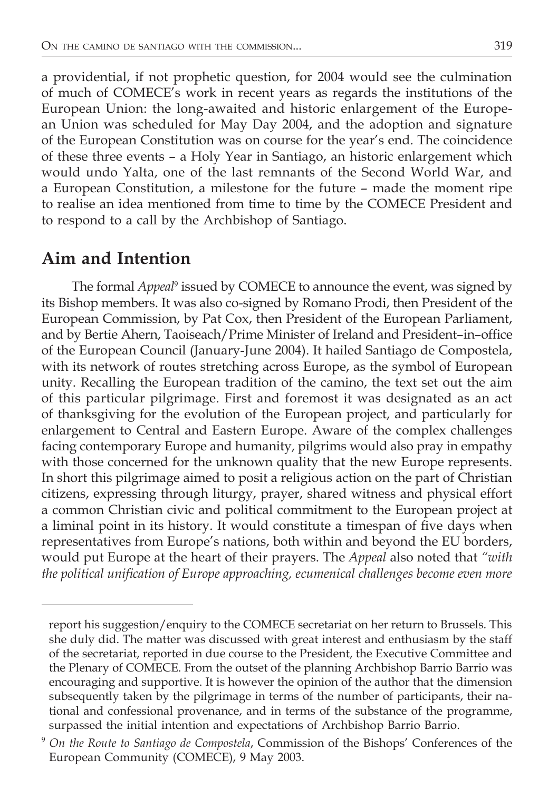a providential, if not prophetic question, for 2004 would see the culmination of much of COMECE's work in recent years as regards the institutions of the European Union: the long-awaited and historic enlargement of the European Union was scheduled for May Day 2004, and the adoption and signature of the European Constitution was on course for the year's end. The coincidence of these three events – a Holy Year in Santiago, an historic enlargement which would undo Yalta, one of the last remnants of the Second World War, and a European Constitution, a milestone for the future – made the moment ripe to realise an idea mentioned from time to time by the COMECE President and to respond to a call by the Archbishop of Santiago.

# **Aim and Intention**

The formal *Appeal*<sup>9</sup> issued by COMECE to announce the event, was signed by its Bishop members. It was also co-signed by Romano Prodi, then President of the European Commission, by Pat Cox, then President of the European Parliament, and by Bertie Ahern, Taoiseach/Prime Minister of Ireland and President–in–office of the European Council (January-June 2004). It hailed Santiago de Compostela, with its network of routes stretching across Europe, as the symbol of European unity. Recalling the European tradition of the camino, the text set out the aim of this particular pilgrimage. First and foremost it was designated as an act of thanksgiving for the evolution of the European project, and particularly for enlargement to Central and Eastern Europe. Aware of the complex challenges facing contemporary Europe and humanity, pilgrims would also pray in empathy with those concerned for the unknown quality that the new Europe represents. In short this pilgrimage aimed to posit a religious action on the part of Christian citizens, expressing through liturgy, prayer, shared witness and physical effort a common Christian civic and political commitment to the European project at a liminal point in its history. It would constitute a timespan of five days when representatives from Europe's nations, both within and beyond the EU borders, would put Europe at the heart of their prayers. The *Appeal* also noted that *"with the political unification of Europe approaching, ecumenical challenges become even more* 

report his suggestion/enquiry to the COMECE secretariat on her return to Brussels. This she duly did. The matter was discussed with great interest and enthusiasm by the staff of the secretariat, reported in due course to the President, the Executive Committee and the Plenary of COMECE. From the outset of the planning Archbishop Barrio Barrio was encouraging and supportive. It is however the opinion of the author that the dimension subsequently taken by the pilgrimage in terms of the number of participants, their national and confessional provenance, and in terms of the substance of the programme, surpassed the initial intention and expectations of Archbishop Barrio Barrio.

<sup>9</sup> *On the Route to Santiago de Compostela*, Commission of the Bishops' Conferences of the European Community (COMECE), 9 May 2003.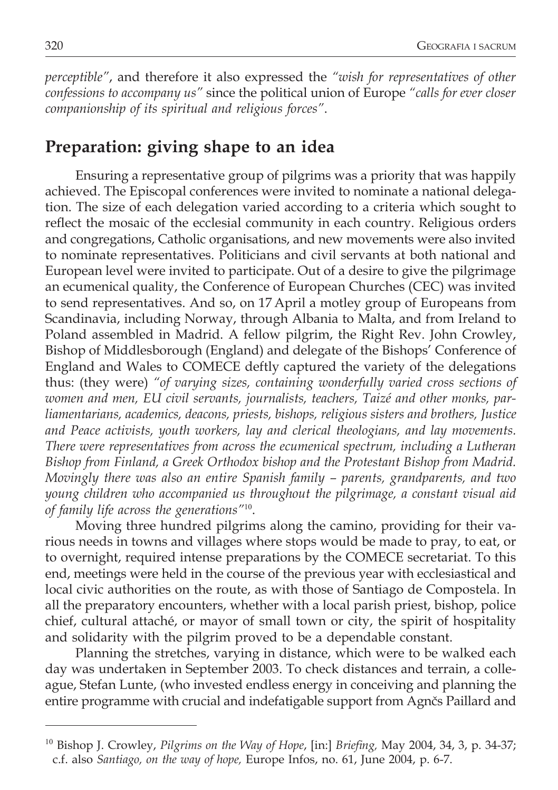*perceptible"*, and therefore it also expressed the *"wish for representatives of other confessions to accompany us"* since the political union of Europe *"calls for ever closer companionship of its spiritual and religious forces"*.

## **Preparation: giving shape to an idea**

Ensuring a representative group of pilgrims was a priority that was happily achieved. The Episcopal conferences were invited to nominate a national delegation. The size of each delegation varied according to a criteria which sought to reflect the mosaic of the ecclesial community in each country. Religious orders and congregations, Catholic organisations, and new movements were also invited to nominate representatives. Politicians and civil servants at both national and European level were invited to participate. Out of a desire to give the pilgrimage an ecumenical quality, the Conference of European Churches (CEC) was invited to send representatives. And so, on 17 April a motley group of Europeans from Scandinavia, including Norway, through Albania to Malta, and from Ireland to Poland assembled in Madrid. A fellow pilgrim, the Right Rev. John Crowley, Bishop of Middlesborough (England) and delegate of the Bishops' Conference of England and Wales to COMECE deftly captured the variety of the delegations thus: (they were) *"of varying sizes, containing wonderfully varied cross sections of women and men, EU civil servants, journalists, teachers, Taizé and other monks, parliamentarians, academics, deacons, priests, bishops, religious sisters and brothers, Justice and Peace activists, youth workers, lay and clerical theologians, and lay movements. There were representatives from across the ecumenical spectrum, including a Lutheran Bishop from Finland, a Greek Orthodox bishop and the Protestant Bishop from Madrid. Movingly there was also an entire Spanish family – parents, grandparents, and two young children who accompanied us throughout the pilgrimage, a constant visual aid of family life across the generations"*<sup>10</sup>.

Moving three hundred pilgrims along the camino, providing for their various needs in towns and villages where stops would be made to pray, to eat, or to overnight, required intense preparations by the COMECE secretariat. To this end, meetings were held in the course of the previous year with ecclesiastical and local civic authorities on the route, as with those of Santiago de Compostela. In all the preparatory encounters, whether with a local parish priest, bishop, police chief, cultural attaché, or mayor of small town or city, the spirit of hospitality and solidarity with the pilgrim proved to be a dependable constant.

Planning the stretches, varying in distance, which were to be walked each day was undertaken in September 2003. To check distances and terrain, a colleague, Stefan Lunte, (who invested endless energy in conceiving and planning the entire programme with crucial and indefatigable support from Agnčs Paillard and

<sup>10</sup> Bishop J. Crowley, *Pilgrims on the Way of Hope*, [in:] *Briefing,* May 2004, 34, 3, p. 34-37; c.f. also *Santiago, on the way of hope,* Europe Infos, no. 61, June 2004, p. 6-7.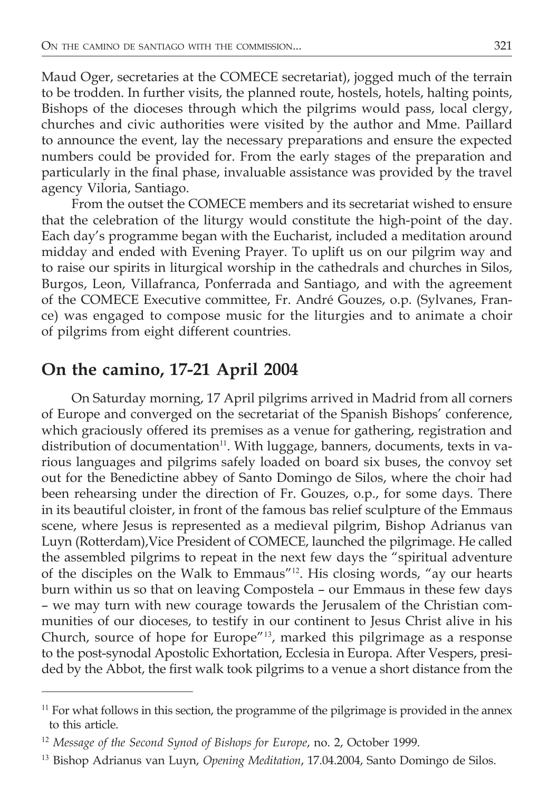Maud Oger, secretaries at the COMECE secretariat), jogged much of the terrain to be trodden. In further visits, the planned route, hostels, hotels, halting points, Bishops of the dioceses through which the pilgrims would pass, local clergy, churches and civic authorities were visited by the author and Mme. Paillard to announce the event, lay the necessary preparations and ensure the expected numbers could be provided for. From the early stages of the preparation and particularly in the final phase, invaluable assistance was provided by the travel agency Viloria, Santiago.

From the outset the COMECE members and its secretariat wished to ensure that the celebration of the liturgy would constitute the high-point of the day. Each day's programme began with the Eucharist, included a meditation around midday and ended with Evening Prayer. To uplift us on our pilgrim way and to raise our spirits in liturgical worship in the cathedrals and churches in Silos, Burgos, Leon, Villafranca, Ponferrada and Santiago, and with the agreement of the COMECE Executive committee, Fr. André Gouzes, o.p. (Sylvanes, France) was engaged to compose music for the liturgies and to animate a choir of pilgrims from eight different countries.

### **On the camino, 17-21 April 2004**

On Saturday morning, 17 April pilgrims arrived in Madrid from all corners of Europe and converged on the secretariat of the Spanish Bishops' conference, which graciously offered its premises as a venue for gathering, registration and distribution of documentation<sup>11</sup>. With luggage, banners, documents, texts in various languages and pilgrims safely loaded on board six buses, the convoy set out for the Benedictine abbey of Santo Domingo de Silos, where the choir had been rehearsing under the direction of Fr. Gouzes, o.p., for some days. There in its beautiful cloister, in front of the famous bas relief sculpture of the Emmaus scene, where Jesus is represented as a medieval pilgrim, Bishop Adrianus van Luyn (Rotterdam),Vice President of COMECE, launched the pilgrimage. He called the assembled pilgrims to repeat in the next few days the "spiritual adventure of the disciples on the Walk to Emmaus"<sup>12</sup>. His closing words, "ay our hearts burn within us so that on leaving Compostela – our Emmaus in these few days – we may turn with new courage towards the Jerusalem of the Christian communities of our dioceses, to testify in our continent to Jesus Christ alive in his Church, source of hope for Europe"<sup>13</sup>, marked this pilgrimage as a response to the post-synodal Apostolic Exhortation, Ecclesia in Europa. After Vespers, presided by the Abbot, the first walk took pilgrims to a venue a short distance from the

 $11$  For what follows in this section, the programme of the pilgrimage is provided in the annex to this article.

<sup>&</sup>lt;sup>12</sup> Message of the Second Synod of Bishops for Europe, no. 2, October 1999.

<sup>13</sup> Bishop Adrianus van Luyn, *Opening Meditation*, 17.04.2004, Santo Domingo de Silos.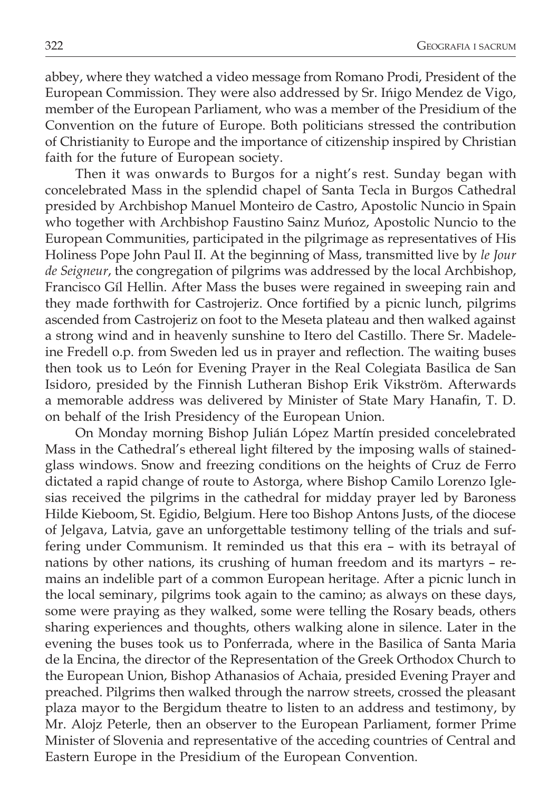abbey, where they watched a video message from Romano Prodi, President of the European Commission. They were also addressed by Sr. Ińigo Mendez de Vigo, member of the European Parliament, who was a member of the Presidium of the Convention on the future of Europe. Both politicians stressed the contribution of Christianity to Europe and the importance of citizenship inspired by Christian faith for the future of European society.

Then it was onwards to Burgos for a night's rest. Sunday began with concelebrated Mass in the splendid chapel of Santa Tecla in Burgos Cathedral presided by Archbishop Manuel Monteiro de Castro, Apostolic Nuncio in Spain who together with Archbishop Faustino Sainz Muńoz, Apostolic Nuncio to the European Communities, participated in the pilgrimage as representatives of His Holiness Pope John Paul II. At the beginning of Mass, transmitted live by *le Jour de Seigneur*, the congregation of pilgrims was addressed by the local Archbishop, Francisco Gíl Hellin. After Mass the buses were regained in sweeping rain and they made forthwith for Castrojeriz. Once fortified by a picnic lunch, pilgrims ascended from Castrojeriz on foot to the Meseta plateau and then walked against a strong wind and in heavenly sunshine to Itero del Castillo. There Sr. Madeleine Fredell o.p. from Sweden led us in prayer and reflection. The waiting buses then took us to León for Evening Prayer in the Real Colegiata Basίlica de San Isidoro, presided by the Finnish Lutheran Bishop Erik Vikström. Afterwards a memorable address was delivered by Minister of State Mary Hanafin, T. D. on behalf of the Irish Presidency of the European Union.

On Monday morning Bishop Julián López Martín presided concelebrated Mass in the Cathedral's ethereal light filtered by the imposing walls of stainedglass windows. Snow and freezing conditions on the heights of Cruz de Ferro dictated a rapid change of route to Astorga, where Bishop Camilo Lorenzo Iglesias received the pilgrims in the cathedral for midday prayer led by Baroness Hilde Kieboom, St. Egidio, Belgium. Here too Bishop Antons Justs, of the diocese of Jelgava, Latvia, gave an unforgettable testimony telling of the trials and suffering under Communism. It reminded us that this era – with its betrayal of nations by other nations, its crushing of human freedom and its martyrs – remains an indelible part of a common European heritage. After a picnic lunch in the local seminary, pilgrims took again to the camino; as always on these days, some were praying as they walked, some were telling the Rosary beads, others sharing experiences and thoughts, others walking alone in silence. Later in the evening the buses took us to Ponferrada, where in the Basilica of Santa Maria de la Encina, the director of the Representation of the Greek Orthodox Church to the European Union, Bishop Athanasios of Achaia, presided Evening Prayer and preached. Pilgrims then walked through the narrow streets, crossed the pleasant plaza mayor to the Bergidum theatre to listen to an address and testimony, by Mr. Alojz Peterle, then an observer to the European Parliament, former Prime Minister of Slovenia and representative of the acceding countries of Central and Eastern Europe in the Presidium of the European Convention.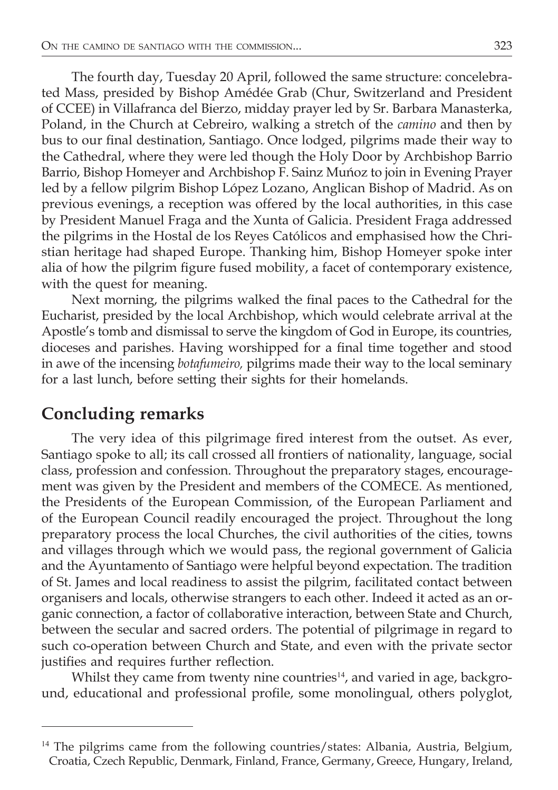The fourth day, Tuesday 20 April, followed the same structure: concelebrated Mass, presided by Bishop Amédée Grab (Chur, Switzerland and President of CCEE) in Villafranca del Bierzo, midday prayer led by Sr. Barbara Manasterka, Poland, in the Church at Cebreiro, walking a stretch of the *camino* and then by bus to our final destination, Santiago. Once lodged, pilgrims made their way to the Cathedral, where they were led though the Holy Door by Archbishop Barrio Barrio, Bishop Homeyer and Archbishop F. Sainz Muńoz to join in Evening Prayer led by a fellow pilgrim Bishop López Lozano, Anglican Bishop of Madrid. As on previous evenings, a reception was offered by the local authorities, in this case by President Manuel Fraga and the Xunta of Galicia. President Fraga addressed the pilgrims in the Hostal de los Reyes Católicos and emphasised how the Christian heritage had shaped Europe. Thanking him, Bishop Homeyer spoke inter alia of how the pilgrim figure fused mobility, a facet of contemporary existence, with the quest for meaning.

Next morning, the pilgrims walked the final paces to the Cathedral for the Eucharist, presided by the local Archbishop, which would celebrate arrival at the Apostle's tomb and dismissal to serve the kingdom of God in Europe, its countries, dioceses and parishes. Having worshipped for a final time together and stood in awe of the incensing *botafumeiro,* pilgrims made their way to the local seminary for a last lunch, before setting their sights for their homelands.

#### **Concluding remarks**

The very idea of this pilgrimage fired interest from the outset. As ever, Santiago spoke to all; its call crossed all frontiers of nationality, language, social class, profession and confession. Throughout the preparatory stages, encouragement was given by the President and members of the COMECE. As mentioned, the Presidents of the European Commission, of the European Parliament and of the European Council readily encouraged the project. Throughout the long preparatory process the local Churches, the civil authorities of the cities, towns and villages through which we would pass, the regional government of Galicia and the Ayuntamento of Santiago were helpful beyond expectation. The tradition of St. James and local readiness to assist the pilgrim, facilitated contact between organisers and locals, otherwise strangers to each other. Indeed it acted as an organic connection, a factor of collaborative interaction, between State and Church, between the secular and sacred orders. The potential of pilgrimage in regard to such co-operation between Church and State, and even with the private sector justifies and requires further reflection.

Whilst they came from twenty nine countries<sup>14</sup>, and varied in age, background, educational and professional profile, some monolingual, others polyglot,

<sup>&</sup>lt;sup>14</sup> The pilgrims came from the following countries/states: Albania, Austria, Belgium, Croatia, Czech Republic, Denmark, Finland, France, Germany, Greece, Hungary, Ireland,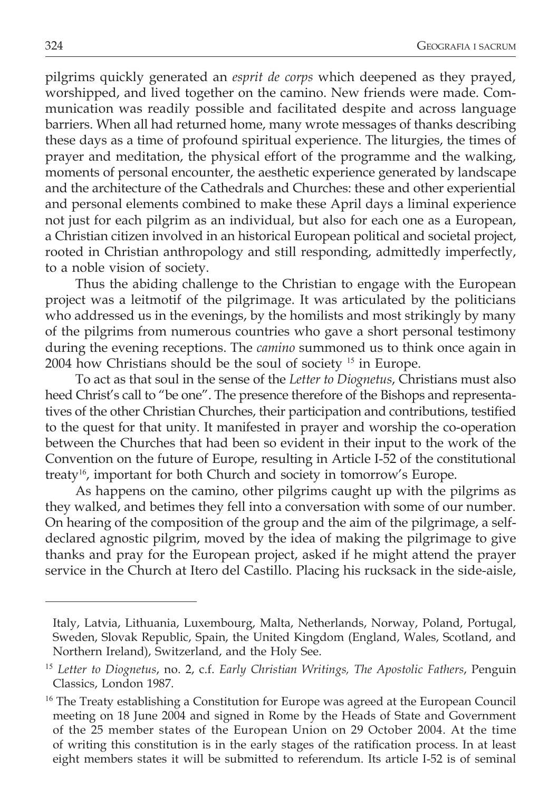pilgrims quickly generated an *esprit de corps* which deepened as they prayed, worshipped, and lived together on the camino. New friends were made. Communication was readily possible and facilitated despite and across language barriers. When all had returned home, many wrote messages of thanks describing these days as a time of profound spiritual experience. The liturgies, the times of prayer and meditation, the physical effort of the programme and the walking, moments of personal encounter, the aesthetic experience generated by landscape and the architecture of the Cathedrals and Churches: these and other experiential and personal elements combined to make these April days a liminal experience not just for each pilgrim as an individual, but also for each one as a European, a Christian citizen involved in an historical European political and societal project, rooted in Christian anthropology and still responding, admittedly imperfectly, to a noble vision of society.

Thus the abiding challenge to the Christian to engage with the European project was a leitmotif of the pilgrimage. It was articulated by the politicians who addressed us in the evenings, by the homilists and most strikingly by many of the pilgrims from numerous countries who gave a short personal testimony during the evening receptions. The *camino* summoned us to think once again in 2004 how Christians should be the soul of society <sup>15</sup> in Europe.

To act as that soul in the sense of the *Letter to Diognetus*, Christians must also heed Christ's call to "be one". The presence therefore of the Bishops and representatives of the other Christian Churches, their participation and contributions, testified to the quest for that unity. It manifested in prayer and worship the co-operation between the Churches that had been so evident in their input to the work of the Convention on the future of Europe, resulting in Article I-52 of the constitutional treaty<sup>16</sup>, important for both Church and society in tomorrow's Europe.

As happens on the camino, other pilgrims caught up with the pilgrims as they walked, and betimes they fell into a conversation with some of our number. On hearing of the composition of the group and the aim of the pilgrimage, a selfdeclared agnostic pilgrim, moved by the idea of making the pilgrimage to give thanks and pray for the European project, asked if he might attend the prayer service in the Church at Itero del Castillo. Placing his rucksack in the side-aisle,

Italy, Latvia, Lithuania, Luxembourg, Malta, Netherlands, Norway, Poland, Portugal, Sweden, Slovak Republic, Spain, the United Kingdom (England, Wales, Scotland, and Northern Ireland), Switzerland, and the Holy See.

<sup>15</sup> *Letter to Diognetus*, no. 2, c.f. *Early Christian Writings, The Apostolic Fathers*, Penguin Classics, London 1987.

<sup>&</sup>lt;sup>16</sup> The Treaty establishing a Constitution for Europe was agreed at the European Council meeting on 18 June 2004 and signed in Rome by the Heads of State and Government of the 25 member states of the European Union on 29 October 2004. At the time of writing this constitution is in the early stages of the ratification process. In at least eight members states it will be submitted to referendum. Its article I-52 is of seminal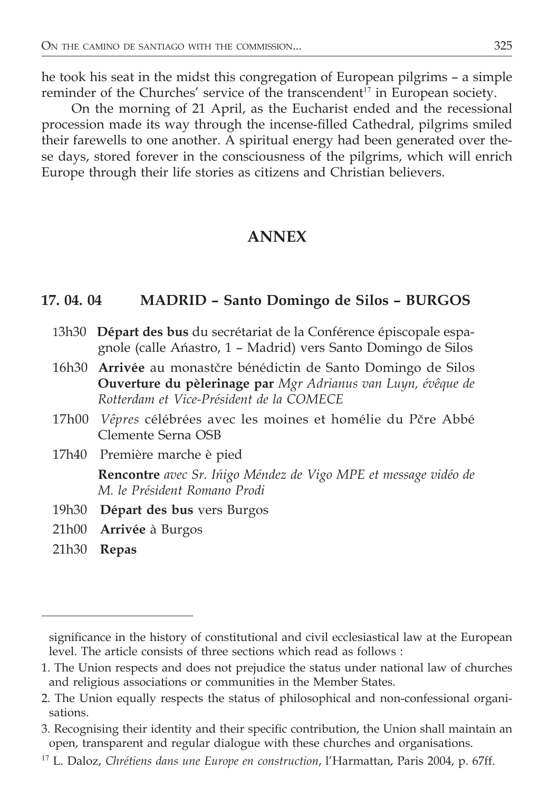he took his seat in the midst this congregation of European pilgrims – a simple reminder of the Churches' service of the transcendent<sup>17</sup> in European society.

On the morning of 21 April, as the Eucharist ended and the recessional procession made its way through the incense-filled Cathedral, pilgrims smiled their farewells to one another. A spiritual energy had been generated over these days, stored forever in the consciousness of the pilgrims, which will enrich Europe through their life stories as citizens and Christian believers.

#### **ANNEX**

#### **17. 04. 04 MADRID – Santo Domingo de Silos – BURGOS**

- 13h30 **Départ des bus** du secrétariat de la Conférence épiscopale espagnole (calle Ańastro, 1 – Madrid) vers Santo Domingo de Silos
- 16h30 **Arrivée** au monastčre bénédictin de Santo Domingo de Silos **Ouverture du pèlerinage par** *Mgr Adrianus van Luyn, évêque de Rotterdam et Vice-Président de la COMECE*
- 17h00 *Vêpres* célébrées avec les moines et homélie du Pčre Abbé Clemente Serna OSB
- 17h40 Première marche è pied **Rencontre** *avec Sr. Ińigo Méndez de Vigo MPE et message vidéo de M. le Président Romano Prodi*
- 19h30 **Départ des bus** vers Burgos
- 21h00 **Arrivée** à Burgos
- 21h30 **Repas**

significance in the history of constitutional and civil ecclesiastical law at the European level. The article consists of three sections which read as follows :

<sup>1.</sup> The Union respects and does not prejudice the status under national law of churches and religious associations or communities in the Member States.

<sup>2.</sup> The Union equally respects the status of philosophical and non-confessional organisations.

<sup>3.</sup> Recognising their identity and their specific contribution, the Union shall maintain an open, transparent and regular dialogue with these churches and organisations.

<sup>17</sup> L. Daloz, *Chrétiens dans une Europe en construction*, l'Harmattan, Paris 2004, p. 67ff.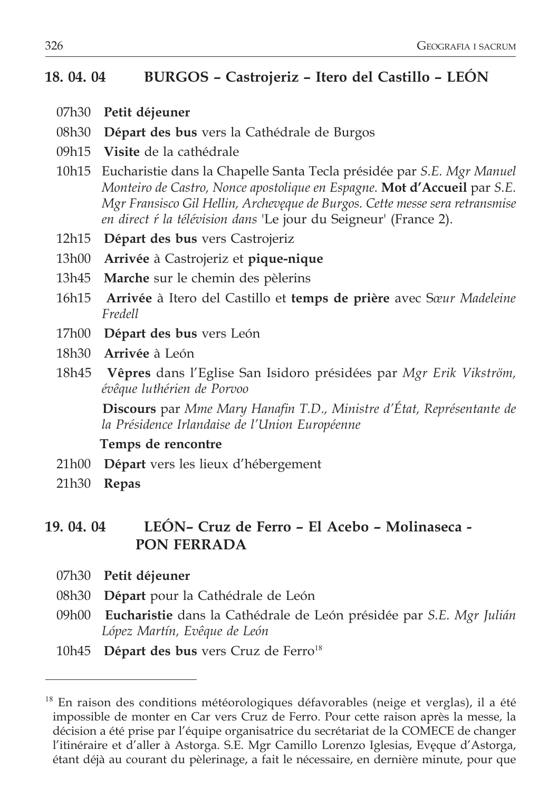#### **18. 04. 04 BURGOS – Castrojeriz – Itero del Castillo – LEÓN**

- 07h30 **Petit déjeuner**
- 08h30 **Départ des bus** vers la Cathédrale de Burgos
- 09h15 **Visite** de la cathédrale
- 10h15 Eucharistie dans la Chapelle Santa Tecla présidée par *S.E. Mgr Manuel Monteiro de Castro, Nonce apostolique en Espagne.* **Mot d'Accueil** par *S.E. Mgr Fransisco Gil Hellin, Archevęque de Burgos. Cette messe sera retransmise en direct ŕ la télévision dans* 'Le jour du Seigneur' (France 2).
- 12h15 **Départ des bus** vers Castrojeriz
- 13h00 **Arrivée** à Castrojeriz et **pique-nique**
- 13h45 **Marche** sur le chemin des pèlerins
- 16h15 **Arrivée** à Itero del Castillo et **temps de prière** avec S*œur Madeleine Fredell*
- 17h00 **Départ des bus** vers León
- 18h30 **Arrivée** à León
- 18h45 **Vêpres** dans l'Eglise San Isidoro présidées par *Mgr Erik Vikström, évêque luthérien de Porvoo*

 **Discours** par *Mme Mary Hanafin T.D., Ministre d'État, Représentante de la Présidence Irlandaise de l'Union Européenne*

**Temps de rencontre**

- 21h00 **Départ** vers les lieux d'hébergement
- 21h30 **Repas**

#### **19. 04. 04 LEÓN– Cruz de Ferro – El Acebo – Molinaseca - PON FERRADA**

- 07h30 **Petit déjeuner**
- 08h30 **Départ** pour la Cathédrale de León
- 09h00 **Eucharistie** dans la Cathédrale de León présidée par *S.E. Mgr Julián López Martín, Evêque de León*
- 10h45 **Départ des bus** vers Cruz de Ferro<sup>18</sup>

 $18$  En raison des conditions météorologiques défavorables (neige et verglas), il a été impossible de monter en Car vers Cruz de Ferro. Pour cette raison après la messe, la décision a été prise par l'équipe organisatrice du secrétariat de la COMECE de changer l'itinéraire et d'aller à Astorga. S.E. Mgr Camillo Lorenzo Iglesias, Evęque d'Astorga, étant déjà au courant du pèlerinage, a fait le nécessaire, en dernière minute, pour que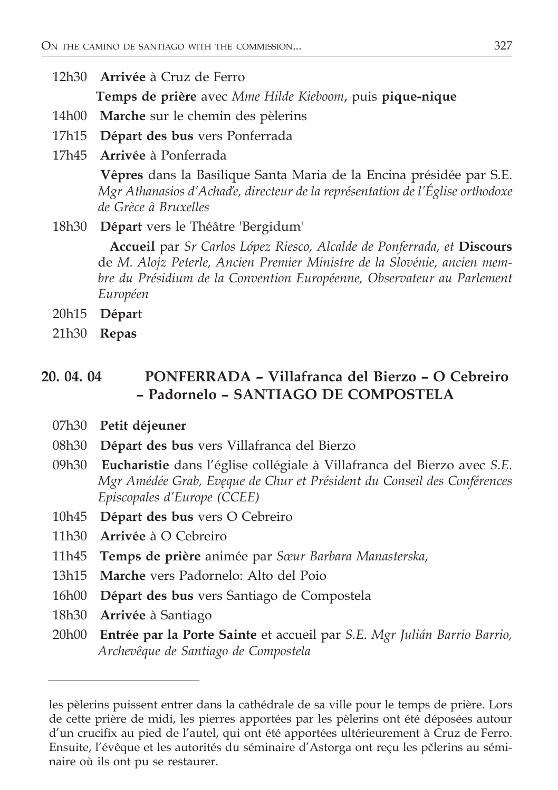12h30 **Arrivée** à Cruz de Ferro

**Temps de prière** avec *Mme Hilde Kieboom*, puis **pique-nique**

- 14h00 **Marche** sur le chemin des pèlerins
- 17h15 **Départ des bus** vers Ponferrada
- 17h45 **Arrivée** à Ponferrada

 **Vêpres** dans la Basilique Santa Maria de la Encina présidée par S.E. *Mgr Athanasios d'Achaďe, directeur de la représentation de l'Église orthodoxe de Grèce à Bruxelles*

18h30 **Départ** vers le Théâtre 'Bergidum'

 **Accueil** par *Sr Carlos López Riesco, Alcalde de Ponferrada, et* **Discours**  de *M. Alojz Peterle, Ancien Premier Ministre de la Slovénie, ancien membre du Présidium de la Convention Européenne, Observateur au Parlement Européen*

- 20h15 **Dépar**t
- 21h30 **Repas**

#### **20. 04. 04 PONFERRADA – Villafranca del Bierzo – O Cebreiro – Padornelo – SANTIAGO DE COMPOSTELA**

- 07h30 **Petit déjeuner**
- 08h30 **Départ des bus** vers Villafranca del Bierzo
- 09h30 **Eucharistie** dans l'église collégiale à Villafranca del Bierzo avec *S.E. Mgr Amédée Grab, Evęque de Chur et Président du Conseil des Conférences Episcopales d'Europe (CCEE)*
- 10h45 **Départ des bus** vers O Cebreiro
- 11h30 **Arrivée** à O Cebreiro
- 11h45 **Temps de prière** animée par *Sœur Barbara Manasterska*,
- 13h15 **Marche** vers Padornelo: Alto del Poio
- 16h00 **Départ des bus** vers Santiago de Compostela
- 18h30 **Arrivée** à Santiago
- 20h00 **Entrée par la Porte Sainte** et accueil par *S.E. Mgr Julián Barrio Barrio, Archevêque de Santiago de Compostela*

les pèlerins puissent entrer dans la cathédrale de sa ville pour le temps de prière. Lors de cette prière de midi, les pierres apportées par les pèlerins ont été déposées autour d'un crucifix au pied de l'autel, qui ont été apportées ultérieurement à Cruz de Ferro. Ensuite, l'évêque et les autorités du séminaire d'Astorga ont reçu les pčlerins au séminaire où ils ont pu se restaurer.